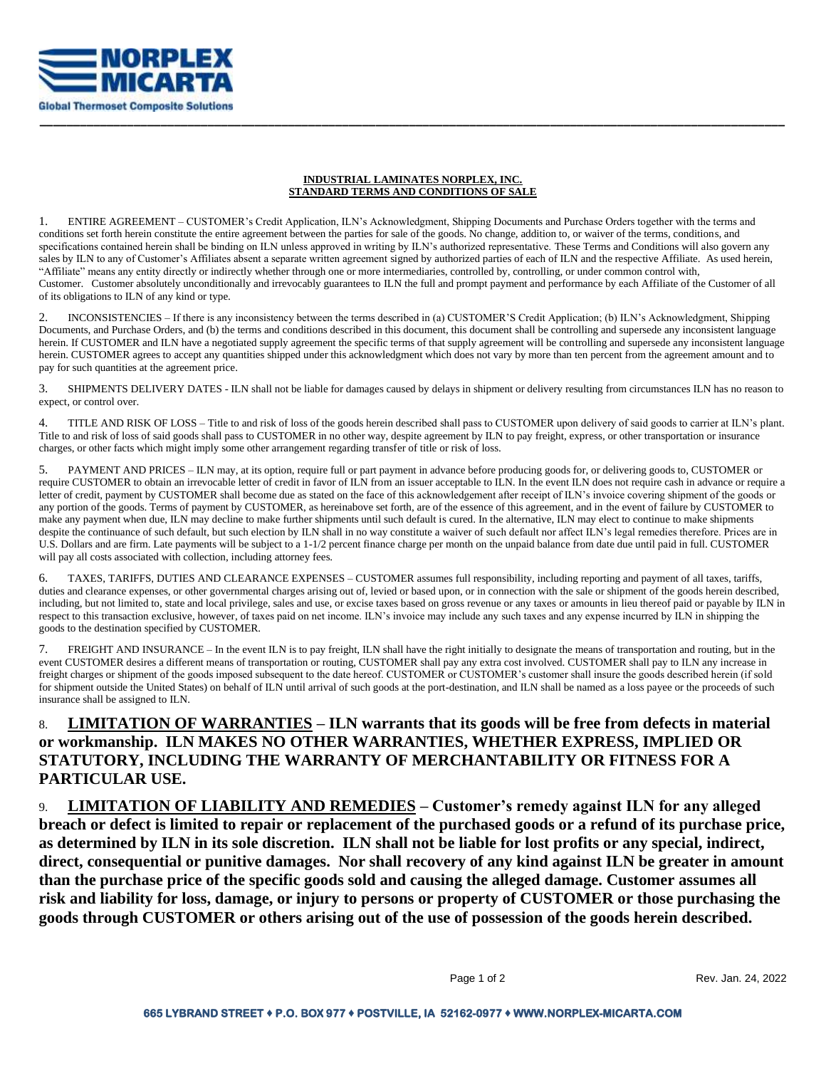

## **INDUSTRIAL LAMINATES NORPLEX, INC. STANDARD TERMS AND CONDITIONS OF SALE**

**\_\_\_\_\_\_\_\_\_\_\_\_\_\_\_\_\_\_\_\_\_\_\_\_\_\_\_\_\_\_\_\_\_\_\_\_\_\_\_\_\_\_\_\_\_\_\_\_\_\_\_\_\_\_\_\_\_\_\_\_\_\_\_\_\_\_\_\_\_\_\_\_\_\_\_\_\_\_\_\_\_\_\_\_\_\_\_\_\_\_\_\_\_\_\_\_\_\_\_\_\_\_\_\_\_\_\_\_\_\_\_**

1. ENTIRE AGREEMENT – CUSTOMER's Credit Application, ILN's Acknowledgment, Shipping Documents and Purchase Orders together with the terms and conditions set forth herein constitute the entire agreement between the parties for sale of the goods. No change, addition to, or waiver of the terms, conditions, and specifications contained herein shall be binding on ILN unless approved in writing by ILN's authorized representative. These Terms and Conditions will also govern any sales by ILN to any of Customer's Affiliates absent a separate written agreement signed by authorized parties of each of ILN and the respective Affiliate. As used herein, "Affiliate" means any entity directly or indirectly whether through one or more intermediaries, controlled by, controlling, or under common control with, Customer. Customer absolutely unconditionally and irrevocably guarantees to ILN the full and prompt payment and performance by each Affiliate of the Customer of all of its obligations to ILN of any kind or type.

2. INCONSISTENCIES – If there is any inconsistency between the terms described in (a) CUSTOMER'S Credit Application; (b) ILN's Acknowledgment, Shipping Documents, and Purchase Orders, and (b) the terms and conditions described in this document, this document shall be controlling and supersede any inconsistent language herein. If CUSTOMER and ILN have a negotiated supply agreement the specific terms of that supply agreement will be controlling and supersede any inconsistent language herein. CUSTOMER agrees to accept any quantities shipped under this acknowledgment which does not vary by more than ten percent from the agreement amount and to pay for such quantities at the agreement price.

3. SHIPMENTS DELIVERY DATES - ILN shall not be liable for damages caused by delays in shipment or delivery resulting from circumstances ILN has no reason to expect, or control over.

4. TITLE AND RISK OF LOSS – Title to and risk of loss of the goods herein described shall pass to CUSTOMER upon delivery of said goods to carrier at ILN's plant. Title to and risk of loss of said goods shall pass to CUSTOMER in no other way, despite agreement by ILN to pay freight, express, or other transportation or insurance charges, or other facts which might imply some other arrangement regarding transfer of title or risk of loss.

5. PAYMENT AND PRICES – ILN may, at its option, require full or part payment in advance before producing goods for, or delivering goods to, CUSTOMER or require CUSTOMER to obtain an irrevocable letter of credit in favor of ILN from an issuer acceptable to ILN. In the event ILN does not require cash in advance or require a letter of credit, payment by CUSTOMER shall become due as stated on the face of this acknowledgement after receipt of ILN's invoice covering shipment of the goods or any portion of the goods. Terms of payment by CUSTOMER, as hereinabove set forth, are of the essence of this agreement, and in the event of failure by CUSTOMER to make any payment when due, ILN may decline to make further shipments until such default is cured. In the alternative, ILN may elect to continue to make shipments despite the continuance of such default, but such election by ILN shall in no way constitute a waiver of such default nor affect ILN's legal remedies therefore. Prices are in U.S. Dollars and are firm. Late payments will be subject to a 1-1/2 percent finance charge per month on the unpaid balance from date due until paid in full. CUSTOMER will pay all costs associated with collection, including attorney fees.

6. TAXES, TARIFFS, DUTIES AND CLEARANCE EXPENSES – CUSTOMER assumes full responsibility, including reporting and payment of all taxes, tariffs, duties and clearance expenses, or other governmental charges arising out of, levied or based upon, or in connection with the sale or shipment of the goods herein described, including, but not limited to, state and local privilege, sales and use, or excise taxes based on gross revenue or any taxes or amounts in lieu thereof paid or payable by ILN in respect to this transaction exclusive, however, of taxes paid on net income. ILN's invoice may include any such taxes and any expense incurred by ILN in shipping the goods to the destination specified by CUSTOMER.

7. FREIGHT AND INSURANCE – In the event ILN is to pay freight, ILN shall have the right initially to designate the means of transportation and routing, but in the event CUSTOMER desires a different means of transportation or routing, CUSTOMER shall pay any extra cost involved. CUSTOMER shall pay to ILN any increase in freight charges or shipment of the goods imposed subsequent to the date hereof. CUSTOMER or CUSTOMER's customer shall insure the goods described herein (if sold for shipment outside the United States) on behalf of ILN until arrival of such goods at the port-destination, and ILN shall be named as a loss payee or the proceeds of such insurance shall be assigned to ILN.

## 8. **LIMITATION OF WARRANTIES – ILN warrants that its goods will be free from defects in material or workmanship. ILN MAKES NO OTHER WARRANTIES, WHETHER EXPRESS, IMPLIED OR STATUTORY, INCLUDING THE WARRANTY OF MERCHANTABILITY OR FITNESS FOR A PARTICULAR USE.**

9. **LIMITATION OF LIABILITY AND REMEDIES – Customer's remedy against ILN for any alleged breach or defect is limited to repair or replacement of the purchased goods or a refund of its purchase price, as determined by ILN in its sole discretion. ILN shall not be liable for lost profits or any special, indirect, direct, consequential or punitive damages. Nor shall recovery of any kind against ILN be greater in amount than the purchase price of the specific goods sold and causing the alleged damage. Customer assumes all risk and liability for loss, damage, or injury to persons or property of CUSTOMER or those purchasing the goods through CUSTOMER or others arising out of the use of possession of the goods herein described.**